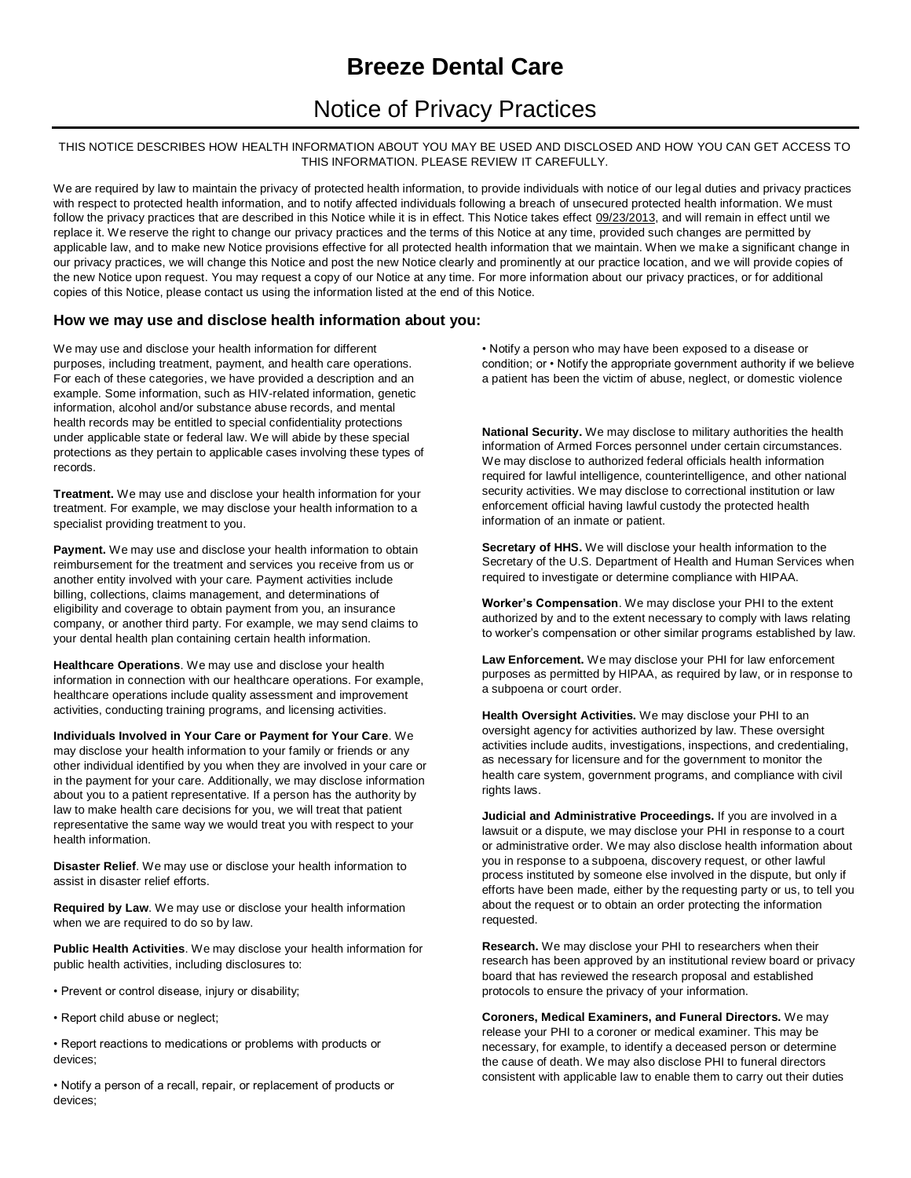# **Breeze Dental Care**

# Notice of Privacy Practices

THIS NOTICE DESCRIBES HOW HEALTH INFORMATION ABOUT YOU MAY BE USED AND DISCLOSED AND HOW YOU CAN GET ACCESS TO THIS INFORMATION. PLEASE REVIEW IT CAREFULLY.

We are required by law to maintain the privacy of protected health information, to provide individuals with notice of our legal duties and privacy practices with respect to protected health information, and to notify affected individuals following a breach of unsecured protected health information. We must follow the privacy practices that are described in this Notice while it is in effect. This Notice takes effect 09/23/2013, and will remain in effect until we replace it. We reserve the right to change our privacy practices and the terms of this Notice at any time, provided such changes are permitted by applicable law, and to make new Notice provisions effective for all protected health information that we maintain. When we make a significant change in our privacy practices, we will change this Notice and post the new Notice clearly and prominently at our practice location, and we will provide copies of the new Notice upon request. You may request a copy of our Notice at any time. For more information about our privacy practices, or for additional copies of this Notice, please contact us using the information listed at the end of this Notice.

## **How we may use and disclose health information about you:**

We may use and disclose your health information for different purposes, including treatment, payment, and health care operations. For each of these categories, we have provided a description and an example. Some information, such as HIV-related information, genetic information, alcohol and/or substance abuse records, and mental health records may be entitled to special confidentiality protections under applicable state or federal law. We will abide by these special protections as they pertain to applicable cases involving these types of records.

**Treatment.** We may use and disclose your health information for your treatment. For example, we may disclose your health information to a specialist providing treatment to you.

Payment. We may use and disclose your health information to obtain reimbursement for the treatment and services you receive from us or another entity involved with your care. Payment activities include billing, collections, claims management, and determinations of eligibility and coverage to obtain payment from you, an insurance company, or another third party. For example, we may send claims to your dental health plan containing certain health information.

**Healthcare Operations**. We may use and disclose your health information in connection with our healthcare operations. For example, healthcare operations include quality assessment and improvement activities, conducting training programs, and licensing activities.

**Individuals Involved in Your Care or Payment for Your Care**. We may disclose your health information to your family or friends or any other individual identified by you when they are involved in your care or in the payment for your care. Additionally, we may disclose information about you to a patient representative. If a person has the authority by law to make health care decisions for you, we will treat that patient representative the same way we would treat you with respect to your health information.

**Disaster Relief**. We may use or disclose your health information to assist in disaster relief efforts.

**Required by Law**. We may use or disclose your health information when we are required to do so by law.

**Public Health Activities**. We may disclose your health information for public health activities, including disclosures to:

- Prevent or control disease, injury or disability;
- Report child abuse or neglect;

• Report reactions to medications or problems with products or devices;

• Notify a person of a recall, repair, or replacement of products or devices;

• Notify a person who may have been exposed to a disease or condition; or • Notify the appropriate government authority if we believe a patient has been the victim of abuse, neglect, or domestic violence

**National Security.** We may disclose to military authorities the health information of Armed Forces personnel under certain circumstances. We may disclose to authorized federal officials health information required for lawful intelligence, counterintelligence, and other national security activities. We may disclose to correctional institution or law enforcement official having lawful custody the protected health information of an inmate or patient.

**Secretary of HHS.** We will disclose your health information to the Secretary of the U.S. Department of Health and Human Services when required to investigate or determine compliance with HIPAA.

**Worker's Compensation**. We may disclose your PHI to the extent authorized by and to the extent necessary to comply with laws relating to worker's compensation or other similar programs established by law.

**Law Enforcement.** We may disclose your PHI for law enforcement purposes as permitted by HIPAA, as required by law, or in response to a subpoena or court order.

**Health Oversight Activities.** We may disclose your PHI to an oversight agency for activities authorized by law. These oversight activities include audits, investigations, inspections, and credentialing, as necessary for licensure and for the government to monitor the health care system, government programs, and compliance with civil rights laws.

**Judicial and Administrative Proceedings.** If you are involved in a lawsuit or a dispute, we may disclose your PHI in response to a court or administrative order. We may also disclose health information about you in response to a subpoena, discovery request, or other lawful process instituted by someone else involved in the dispute, but only if efforts have been made, either by the requesting party or us, to tell you about the request or to obtain an order protecting the information requested.

**Research.** We may disclose your PHI to researchers when their research has been approved by an institutional review board or privacy board that has reviewed the research proposal and established protocols to ensure the privacy of your information.

**Coroners, Medical Examiners, and Funeral Directors.** We may release your PHI to a coroner or medical examiner. This may be necessary, for example, to identify a deceased person or determine the cause of death. We may also disclose PHI to funeral directors consistent with applicable law to enable them to carry out their duties